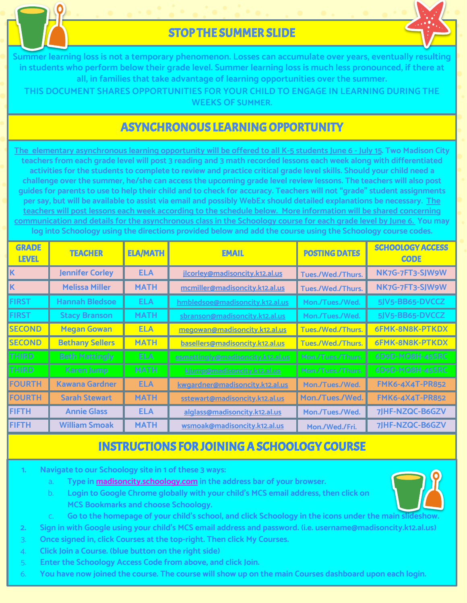

# STOP THE SUMMER SLIDE

**Summer learning loss is not a temporary phenomenon. Losses can accumulate over years, eventually resulting in students who perform below their grade level. Summer learning loss is much less pronounced, if there at all, in families that take advantage of learning opportunities over the summer.** 

**THIS DOCUMENT SHARES OPPORTUNITIES FOR YOUR CHILD TO ENGAGE IN LEARNING DURING THE WEEKS OF SUMMER.**

# ASYNCHRONOUS LEARNING OPPORTUNITY

**The elementary asynchronous learning opportunity will be offered to all K-5 students June 6 - July 15. Two Madison City teachers from each grade level will post 3 reading and 3 math recorded lessons each week along with differentiated activities for the students to complete to review and practice critical grade level skills. Should your child need a challenge over the summer, he/she can access the upcoming grade level review lessons. The teachers will also post guides for parents to use to help their child and to check for accuracy. Teachers will not "grade" student assignments per say, but will be available to assist via email and possibly WebEx should detailed explanations be necessary. The teachers will post lessons each week according to the schedule below. More information will be shared concerning communication and details for the asynchronous class in the Schoology course for each grade level by June 6. You may log into Schoology using the directions provided below and add the course using the Schoology course codes.** 

| <b>GRADE</b><br><b>LEVEL</b> | <b>TEACHER</b>         | <b>ELA/MATH</b> | <b>EMAIL</b>                      | <b>POSTING DATES</b> | <b>SCHOOLOGY ACCESS</b><br><b>CODE</b> |
|------------------------------|------------------------|-----------------|-----------------------------------|----------------------|----------------------------------------|
| Κ                            | <b>Jennifer Corley</b> | <b>ELA</b>      | jlcorley@madisoncity.k12.al.us    | Tues./Wed./Thurs.    | NK7G-7FT3-SJW9W                        |
| Κ                            | <b>Melissa Miller</b>  | <b>MATH</b>     | mcmiller@madisoncity.k12.al.us    | Tues./Wed./Thurs.    | NK7G-7FT3-SJW9W                        |
| <b>FIRST</b>                 | <b>Hannah Bledsoe</b>  | <b>ELA</b>      | hmbledsoe@madisoncity.k12.al.us   | Mon./Tues./Wed.      | 5JV5-BB65-DVCCZ                        |
| <b>FIRST</b>                 | <b>Stacy Branson</b>   | <b>MATH</b>     | sbranson@madisoncity.k12.al.us    | Mon./Tues./Wed.      | 5JV5-BB65-DVCCZ                        |
| <b>SECOND</b>                | <b>Megan Gowan</b>     | <b>ELA</b>      | megowan@madisoncity.k12.al.us     | Tues./Wed./Thurs.    | 6FMK-8N8K-PTKDX                        |
| <b>SECOND</b>                | <b>Bethany Sellers</b> | <b>MATH</b>     | basellers@madisoncity.k12.al.us   | Tues./Wed./Thurs.    | 6FMK-8N8K-PTKDX                        |
| THIRD                        | <b>Beth Mattingly</b>  | ELA.            | esmattingly@madisoncity.k12.al.us | Mon./Tues./Thurs.    | 6D9D-MQ8H-45SRC                        |
| THIRD.                       | Karen Jump             | MATH.           | kjump@madisoncity.k12.al.us       | Mon./Tues./Thurs.    | 6D9D-MQ8H-45SRC                        |
| <b>FOURTH</b>                | <b>Kawana Gardner</b>  | <b>ELA</b>      | kwgardner@madisoncity.k12.al.us   | Mon./Tues./Wed.      | <b>FMK6-4X4T-PR852</b>                 |
| <b>FOURTH</b>                | <b>Sarah Stewart</b>   | <b>MATH</b>     | sstewart@madisoncity.k12.al.us    | Mon./Tues./Wed.      | <b>FMK6-4X4T-PR852</b>                 |
| <b>FIFTH</b>                 | <b>Annie Glass</b>     | <b>ELA</b>      | alglass@madisoncity.k12.al.us     | Mon./Tues./Wed.      | 7JHF-NZQC-B6GZV                        |
| <b>FIFTH</b>                 | <b>William Smoak</b>   | <b>MATH</b>     | wsmoak@madisoncity.k12.al.us      | Mon./Wed./Fri.       | 7JHF-NZQC-B6GZV                        |

### INSTRUCTIONS FOR JOINING A SCHOOLOGY COURSE

- **1. Navigate to our Schoology site in 1 of these 3 ways:**
	- a. **Type in [madisoncity.schoology.com](http://madisoncity.schoology.com) in the address bar of your browser.**
	- b. **Login to Google Chrome globally with your child's MCS email address, then click on MCS Bookmarks and choose Schoology.**
- 
- c. **Go to the homepage of your child's school, and click Schoology in the icons under the main slideshow.**
- **2. Sign in with Google using your child's MCS email address and password. (i.e. username@madisoncity.k12.al.us)**
- 3. **Once signed in, click Courses at the top-right. Then click My Courses.**
- 4. **Click Join a Course. (blue button on the right side)**
- 5. **Enter the Schoology Access Code from above, and click Join.**
- 6. **You have now joined the course. The course will show up on the main Courses dashboard upon each login.**